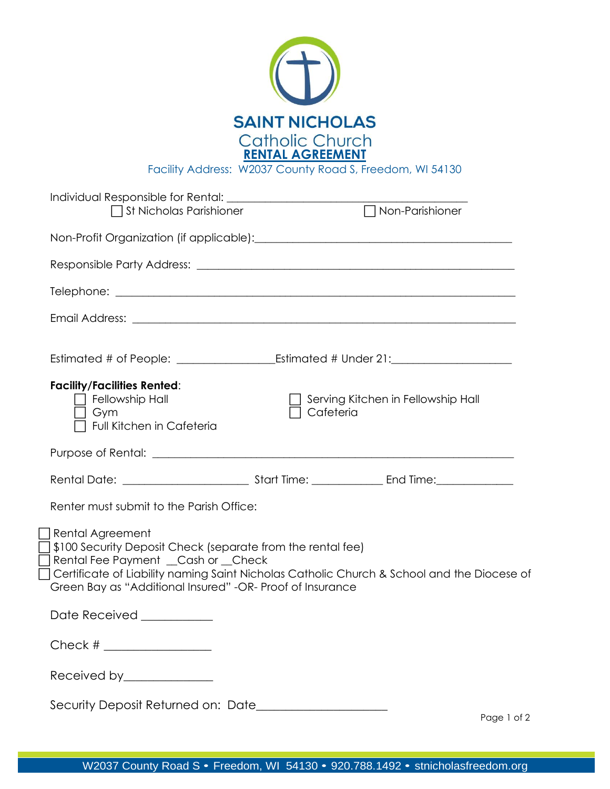

Facility Address: W2037 County Road S, Freedom, WI 54130

| $\Box$ St Nicholas Parishioner                                                                                                                                                       |           | $\overline{\Box}$ Non-Parishioner                                                          |
|--------------------------------------------------------------------------------------------------------------------------------------------------------------------------------------|-----------|--------------------------------------------------------------------------------------------|
|                                                                                                                                                                                      |           |                                                                                            |
|                                                                                                                                                                                      |           |                                                                                            |
|                                                                                                                                                                                      |           |                                                                                            |
|                                                                                                                                                                                      |           |                                                                                            |
|                                                                                                                                                                                      |           |                                                                                            |
| <b>Facility/Facilities Rented:</b><br>$\sqcap$ Fellowship Hall<br>  Gym<br>Full Kitchen in Cafeteria                                                                                 | Cafeteria | Serving Kitchen in Fellowship Hall                                                         |
|                                                                                                                                                                                      |           |                                                                                            |
|                                                                                                                                                                                      |           |                                                                                            |
| Renter must submit to the Parish Office:                                                                                                                                             |           |                                                                                            |
| Rental Agreement<br>\$100 Security Deposit Check (separate from the rental fee)<br>Rental Fee Payment __Cash or __Check<br>Green Bay as "Additional Insured" -OR- Proof of Insurance |           | Certificate of Liability naming Saint Nicholas Catholic Church & School and the Diocese of |
| Date Received ___________                                                                                                                                                            |           |                                                                                            |
| Check # $\frac{$                                                                                                                                                                     |           |                                                                                            |
| Received by______________                                                                                                                                                            |           |                                                                                            |
|                                                                                                                                                                                      |           |                                                                                            |

Page 1 of 2